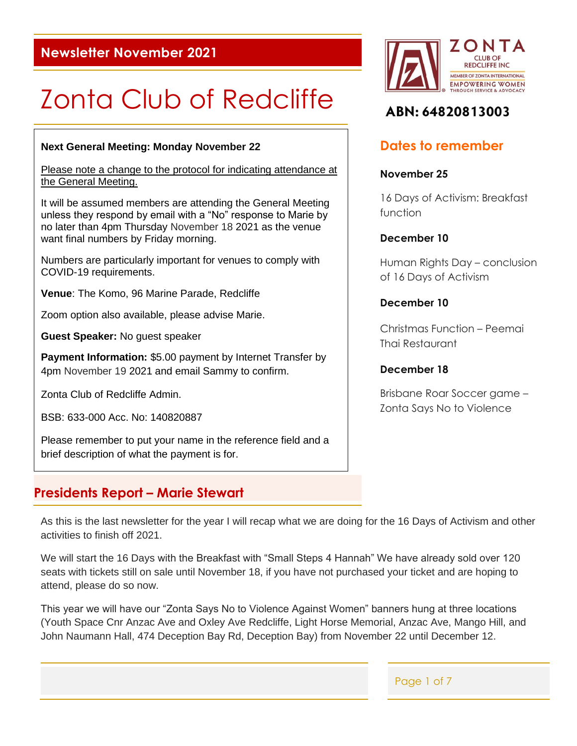# **Newsletter November 2021**

# Zonta Club of Redcliffe

## **Next General Meeting: Monday November 22**

Please note a change to the protocol for indicating attendance at the General Meeting.

It will be assumed members are attending the General Meeting unless they respond by email with a "No" response to Marie by no later than 4pm Thursday November 18 2021 as the venue want final numbers by Friday morning.

Numbers are particularly important for venues to comply with COVID-19 requirements.

**Venue**: The Komo, 96 Marine Parade, Redcliffe

Zoom option also available, please advise Marie.

**Guest Speaker:** No guest speaker

**Payment Information:** \$5.00 payment by Internet Transfer by 4pm November 19 2021 and email Sammy to confirm.

Zonta Club of Redcliffe Admin.

BSB: 633-000 Acc. No: 140820887

Please remember to put your name in the reference field and a brief description of what the payment is for.

## **Presidents Report – Marie Stewart**



# ABN: 64820813003

# **Dates to remember**

#### **November 25**

16 Days of Activism: Breakfast function

## **December 10**

Human Rights Day – conclusion of 16 Days of Activism

## **December 10**

Christmas Function – Peemai Thai Restaurant

## **December 18**

Brisbane Roar Soccer game – Zonta Says No to Violence

As this is the last newsletter for the year I will recap what we are doing for the 16 Days of Activism and other activities to finish off 2021.

We will start the 16 Days with the Breakfast with "Small Steps 4 Hannah" We have already sold over 120 seats with tickets still on sale until November 18, if you have not purchased your ticket and are hoping to attend, please do so now.

This year we will have our "Zonta Says No to Violence Against Women" banners hung at three locations (Youth Space Cnr Anzac Ave and Oxley Ave Redcliffe, Light Horse Memorial, Anzac Ave, Mango Hill, and John Naumann Hall, 474 Deception Bay Rd, Deception Bay) from November 22 until December 12.

Page 1 of 7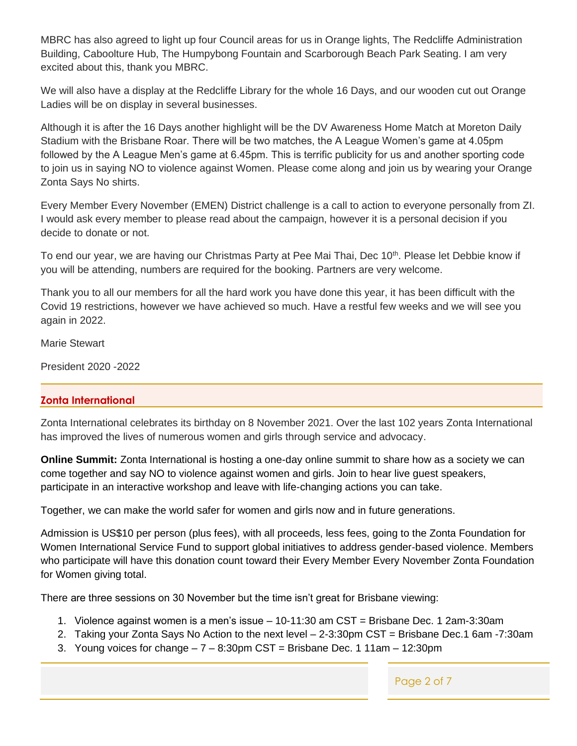MBRC has also agreed to light up four Council areas for us in Orange lights, The Redcliffe Administration Building, Caboolture Hub, The Humpybong Fountain and Scarborough Beach Park Seating. I am very excited about this, thank you MBRC.

We will also have a display at the Redcliffe Library for the whole 16 Days, and our wooden cut out Orange Ladies will be on display in several businesses.

Although it is after the 16 Days another highlight will be the DV Awareness Home Match at Moreton Daily Stadium with the Brisbane Roar. There will be two matches, the A League Women's game at 4.05pm followed by the A League Men's game at 6.45pm. This is terrific publicity for us and another sporting code to join us in saying NO to violence against Women. Please come along and join us by wearing your Orange Zonta Says No shirts.

Every Member Every November (EMEN) District challenge is a call to action to everyone personally from ZI. I would ask every member to please read about the campaign, however it is a personal decision if you decide to donate or not.

To end our year, we are having our Christmas Party at Pee Mai Thai, Dec 10<sup>th</sup>. Please let Debbie know if you will be attending, numbers are required for the booking. Partners are very welcome.

Thank you to all our members for all the hard work you have done this year, it has been difficult with the Covid 19 restrictions, however we have achieved so much. Have a restful few weeks and we will see you again in 2022.

Marie Stewart

President 2020 -2022

## **Zonta International**

Zonta International celebrates its birthday on 8 November 2021. Over the last 102 years Zonta International has improved the lives of numerous women and girls through service and advocacy.

**Online Summit:** Zonta International is hosting a one-day online summit to share how as a society we can come together and say NO to violence against women and girls. Join to hear live guest speakers, participate in an interactive workshop and leave with life-changing actions you can take.

Together, we can make the world safer for women and girls now and in future generations.

Admission is US\$10 per person (plus fees), with all proceeds, less fees, going to the Zonta Foundation for Women International Service Fund to support global initiatives to address gender-based violence. Members who participate will have this donation count toward their Every Member Every November Zonta Foundation for Women giving total.

There are three sessions on 30 November but the time isn't great for Brisbane viewing:

- 1. Violence against women is a men's issue 10-11:30 am CST = Brisbane Dec. 1 2am-3:30am
- 2. Taking your Zonta Says No Action to the next level 2-3:30pm CST = Brisbane Dec.1 6am -7:30am
- 3. Young voices for change  $-7 8:30$ pm CST = Brisbane Dec. 1 11am  $12:30$ pm

Page 2 of 7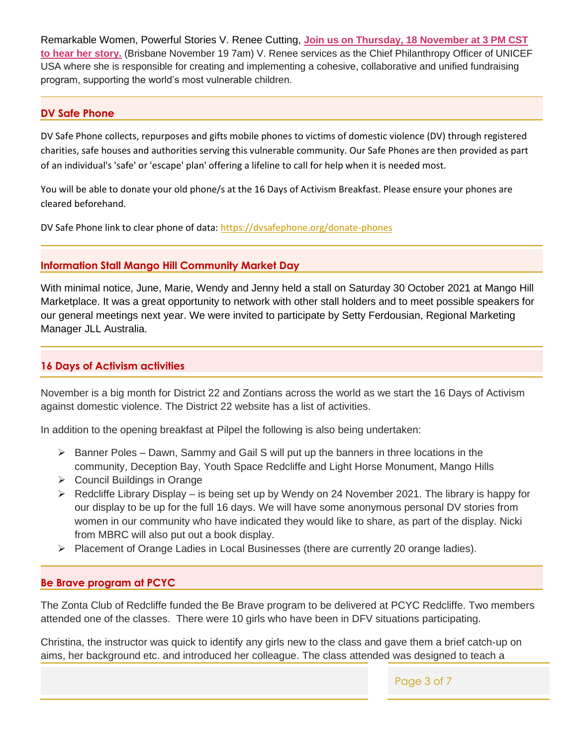Remarkable Women, Powerful Stories V. Renee Cutting, **[Join us on Thursday, 18 November at 3 PM CST](https://r20.rs6.net/tn.jsp?f=0017gx8k36kMqfXFu-t1ncsVgib6NfZGohqw2QVDYKVqWm2lInLekcJBYwVpCo9fmQnsCfQJnbUU8CJsusi9pJ7j9mzBGMsomtt5TKMOYxg5GnIaIDXV-qkVp0wSotX3h5QMhe1EtlSBBBB72kxPpNF_nhTx8II8xX3JSnacyKx0AzSb-47IV8mgICm--ZApC8xaCiu1_Cd-mU=&c=ZIWYnX3On1ZaGRs5BCtjDTvJlJtQln78_mADCGiHXNGrOi-6pDdjWQ==&ch=5dAm1gfFYsvxXrotDNxqfpCp3gph7G534nlp77S5CMOq12DgjtYwfQ==)  to hear [her story.](https://r20.rs6.net/tn.jsp?f=0017gx8k36kMqfXFu-t1ncsVgib6NfZGohqw2QVDYKVqWm2lInLekcJBYwVpCo9fmQnsCfQJnbUU8CJsusi9pJ7j9mzBGMsomtt5TKMOYxg5GnIaIDXV-qkVp0wSotX3h5QMhe1EtlSBBBB72kxPpNF_nhTx8II8xX3JSnacyKx0AzSb-47IV8mgICm--ZApC8xaCiu1_Cd-mU=&c=ZIWYnX3On1ZaGRs5BCtjDTvJlJtQln78_mADCGiHXNGrOi-6pDdjWQ==&ch=5dAm1gfFYsvxXrotDNxqfpCp3gph7G534nlp77S5CMOq12DgjtYwfQ==)** (Brisbane November 19 7am) V. Renee services as the Chief Philanthropy Officer of UNICEF USA where she is responsible for creating and implementing a cohesive, collaborative and unified fundraising program, supporting the world's most vulnerable children.

## **DV Safe Phone**

DV Safe Phone collects, repurposes and gifts mobile phones to victims of domestic violence (DV) through registered charities, safe houses and authorities serving this vulnerable community. Our Safe Phones are then provided as part of an individual's 'safe' or 'escape' plan' offering a lifeline to call for help when it is needed most.

You will be able to donate your old phone/s at the 16 Days of Activism Breakfast. Please ensure your phones are cleared beforehand.

DV Safe Phone link to clear phone of data:<https://dvsafephone.org/donate-phones>

## **Information Stall Mango Hill Community Market Day**

With minimal notice, June, Marie, Wendy and Jenny held a stall on Saturday 30 October 2021 at Mango Hill Marketplace. It was a great opportunity to network with other stall holders and to meet possible speakers for our general meetings next year. We were invited to participate by Setty Ferdousian, Regional Marketing Manager JLL Australia.

## **16 Days of Activism activities**

November is a big month for District 22 and Zontians across the world as we start the 16 Days of Activism watching the units of the units of the units of the country with local to the country with local dependence of against domestic violence. The District 22 website has a list of activities.

In addition to the opening breakfast at Pilpel the following is also being undertaken:  $\sim$  face-to-face-to-face-to-face-to-face-to-face-to-face-to-face-to-face-to-face-to-face-to-face-to-face-to-face-to-face-to-face-to-face-to-face-to-face-to-face-to-face-to-face-to-face-to-face-to-face-to-face-to-face-to-

- $\triangleright$  Banner Poles Dawn, Sammy and Gail S will put up the banners in three locations in the community, Deception Bay, Youth Space Redcliffe and Light Horse Monument, Mango Hills
	- ➢ Council Buildings in Orange
- $\triangleright$  Redcliffe Library Display is being set up by Wendy on 24 November 2021. The library is happy for our display to be up for the full 16 days. We will have some anonymous personal DV stories from women in our community who have indicated they would like to share, as part of the display. Nicki from MBRC will also put out a book display.
	- ➢ Placement of Orange Ladies in Local Businesses (there are currently 20 orange ladies).

#### Naturally we will honour the cancellation policy we put in place for the Conference and refund **Be Brave program at PCYC**  $\frac{1}{2}$  100% of the registration fee you paid, including the Sticky Tickets cancellation fee (less cancellation fee  $\frac{1}{2}$

The Zonta Club of Redcliffe funded the Be Brave program to be delivered at PCYC Redcliffe. Two members attended one of the classes. There were 10 girls who have been in DFV situations participating.

aims, her background etc. and introduced her colleague. The class attended was designed to teach a Christina, the instructor was quick to identify any girls new to the class and gave them a brief catch-up on

*4 September* free in your calendars. We also encourage you to make a plan to get together with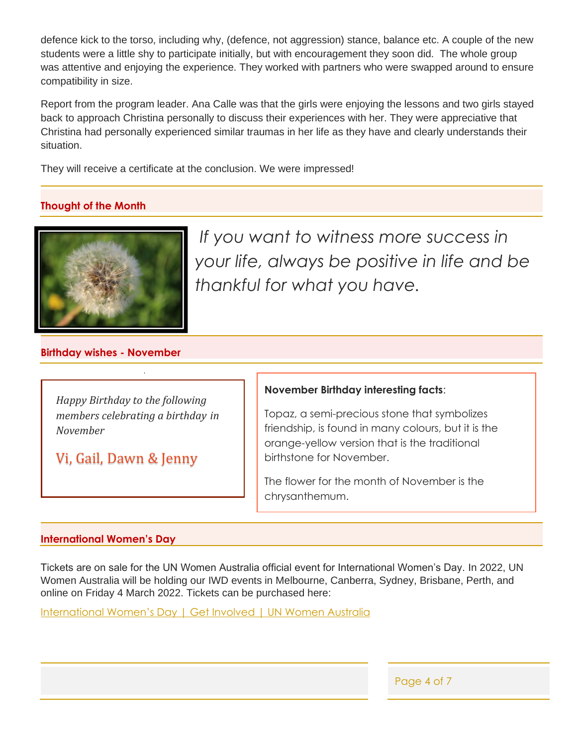defence kick to the torso, including why, (defence, not aggression) stance, balance etc. A couple of the new students were a little shy to participate initially, but with encouragement they soon did. The whole group was attentive and enjoying the experience. They worked with partners who were swapped around to ensure compatibility in size.

Report from the program leader. Ana Calle was that the girls were enjoying the lessons and two girls stayed back to approach Christina personally to discuss their experiences with her. They were appreciative that Christina had personally experienced similar traumas in her life as they have and clearly understands their situation.

They will receive a certificate at the conclusion. We were impressed!

## **Thought of the Month**



 $\overline{\phantom{a}}$  and  $\overline{\phantom{a}}$  and  $\overline{\phantom{a}}$  are the  $\overline{\phantom{a}}$  at the day at the day objective of the day at the day at the day of the day of the day of the day of the day of the day of the day of the day of the day of t *If you want to witness more success in* **the compact women and families of violence**. Always be positive in life and be *thankful for what you have.*

## **Birthday wishes - November**

*Happy Birthday to the following members celebrating a birthday in November*

Vi, Gail, Dawn & Jenny

### **November Birthday interesting facts**:

Topaz, a semi-precious stone that symbolizes friendship, is found in many colours, but it is the orange-yellow version that is the traditional birthstone for November.

The flower for the month of November is the chrysanthemum.

## **International Women's Day**

Tickets are on sale for the UN Women Australia official event for International Women's Day. In 2022, UN Women Australia will be holding our IWD events in Melbourne, Canberra, Sydney, Brisbane, Perth, and online on Friday 4 March 2022. Tickets can be purchased here:

[International Women's Day | Get Involved | UN Women Australia](https://unwomen.org.au/get-involved/international-womens-day/?bblinkid=255110401&bbemailid=34821752&bbejrid=2130239761)

Page 4 of 7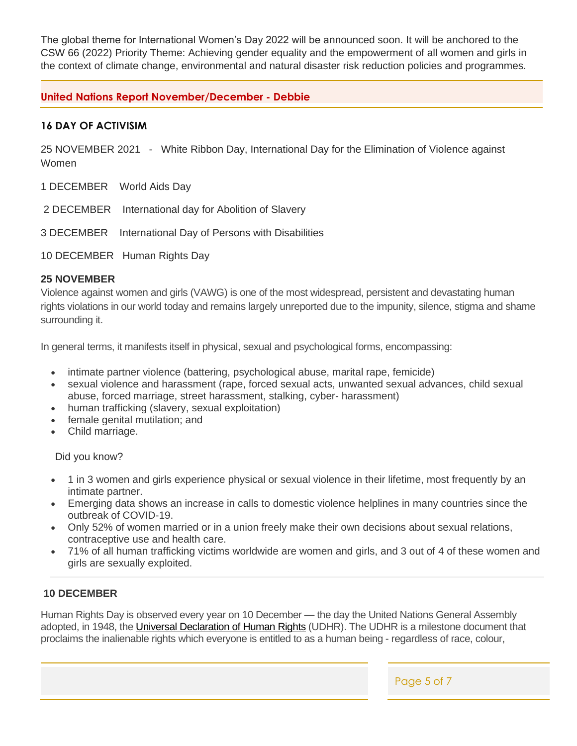The global theme for International Women's Day 2022 will be announced soon. It will be anchored to the CSW 66 (2022) Priority Theme: Achieving gender equality and the empowerment of all women and girls in the context of climate change, environmental and natural disaster risk reduction policies and programmes.

## **United Nations Report November/December - Debbie**

## **16 DAY OF ACTIVISIM**

25 NOVEMBER 2021 - White Ribbon Day, International Day for the Elimination of Violence against Women

- 1 DECEMBER World Aids Day
- 2 DECEMBER International day for Abolition of Slavery
- 3 DECEMBER International Day of Persons with Disabilities
- 10 DECEMBER Human Rights Day

## **25 NOVEMBER**

Violence against women and girls (VAWG) is one of the most widespread, persistent and devastating human rights violations in our world today and remains largely unreported due to the impunity, silence, stigma and shame surrounding it.

In general terms, it manifests itself in physical, sexual and psychological forms, encompassing:

- intimate partner violence (battering, psychological abuse, marital rape, femicide)
- sexual violence and harassment (rape, forced sexual acts, unwanted sexual advances, child sexual abuse, forced marriage, street harassment, stalking, cyber- harassment)
- human trafficking (slavery, sexual exploitation)
- female genital mutilation; and
- Child marriage.

Did you know?

- 1 in 3 women and girls experience physical or sexual violence in their lifetime, most frequently by an intimate partner.
- Emerging data shows an increase in calls to domestic violence helplines in many countries since the outbreak of COVID-19.
- Only 52% of women married or in a union freely make their own decisions about sexual relations, contraceptive use and health care.
- 71% of all human trafficking victims worldwide are women and girls, and 3 out of 4 of these women and girls are sexually exploited.

## **10 DECEMBER**

Human Rights Day is observed every year on 10 December — the day the United Nations General Assembly adopted, in 1948, the *[Universal Declaration of Human Rights](https://www.un.org/en/observances/human-rights-day/know-your-rights)* (UDHR). The UDHR is a milestone document that proclaims the inalienable rights which everyone is entitled to as a human being - regardless of race, colour,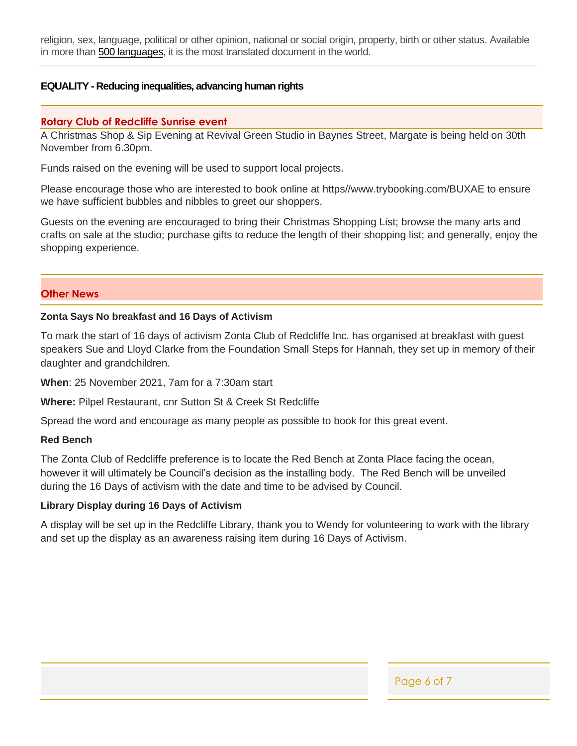religion, sex, language, political or other opinion, national or social origin, property, birth or other status. Available in more than [500 languages,](http://www.ohchr.org/EN/UDHR/Pages/SearchByLang.aspx) it is the most translated document in the world.

## **EQUALITY - Reducing inequalities, advancing human rights**

#### **Rotary Club of Redcliffe Sunrise event**

A Christmas Shop & Sip Evening at Revival Green Studio in Baynes Street, Margate is being held on 30th November from 6.30pm.

Funds raised on the evening will be used to support local projects.

Please encourage those who are interested to book online at https//www.trybooking.com/BUXAE to ensure we have sufficient bubbles and nibbles to greet our shoppers.

Guests on the evening are encouraged to bring their Christmas Shopping List; browse the many arts and crafts on sale at the studio; purchase gifts to reduce the length of their shopping list; and generally, enjoy the shopping experience.

#### **Other News**

#### **Zonta Says No breakfast and 16 Days of Activism**

To mark the start of 16 days of activism Zonta Club of Redcliffe Inc. has organised at breakfast with guest speakers Sue and Lloyd Clarke from the Foundation Small Steps for Hannah, they set up in memory of their daughter and grandchildren.

**When**: 25 November 2021, 7am for a 7:30am start

**Where:** Pilpel Restaurant, cnr Sutton St & Creek St Redcliffe

Spread the word and encourage as many people as possible to book for this great event.

#### **Red Bench**

The Zonta Club of Redcliffe preference is to locate the Red Bench at Zonta Place facing the ocean, however it will ultimately be Council's decision as the installing body. The Red Bench will be unveiled during the 16 Days of activism with the date and time to be advised by Council.

#### **Library Display during 16 Days of Activism**

A display will be set up in the Redcliffe Library, thank you to Wendy for volunteering to work with the library and set up the display as an awareness raising item during 16 Days of Activism.

Page 6 of 7